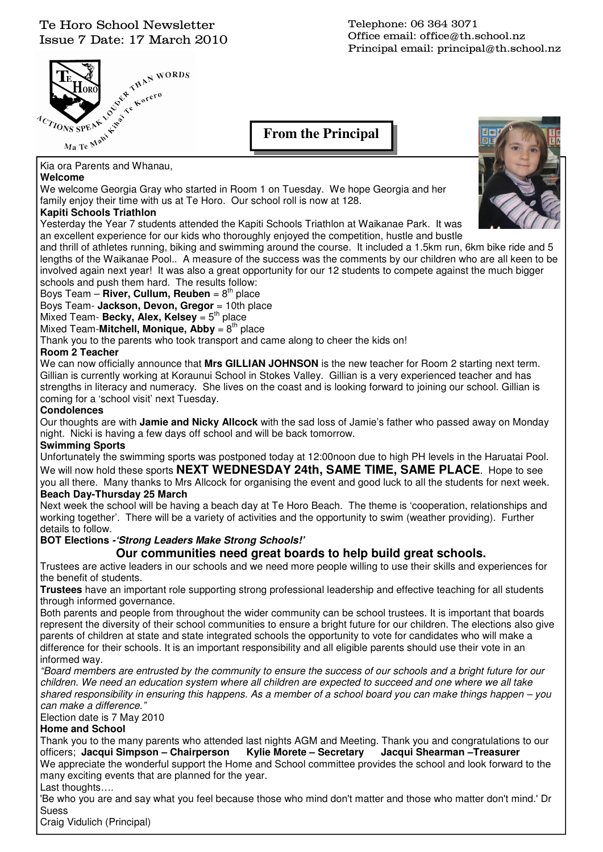### Te Horo School Newsletter Issue 7 Date: 17 March 2010



Telephone: 06 364 3071 Office email: office@th.school.nz Principal email: principal@th.school.nz

**From the Principal** 

### **Welcome**

We welcome Georgia Gray who started in Room 1 on Tuesday. We hope Georgia and her family enjoy their time with us at Te Horo. Our school roll is now at 128.

### **Kapiti Schools Triathlon**

Yesterday the Year 7 students attended the Kapiti Schools Triathlon at Waikanae Park. It was an excellent experience for our kids who thoroughly enjoyed the competition, hustle and bustle

and thrill of athletes running, biking and swimming around the course. It included a 1.5km run, 6km bike ride and 5 lengths of the Waikanae Pool.. A measure of the success was the comments by our children who are all keen to be involved again next year! It was also a great opportunity for our 12 students to compete against the much bigger schools and push them hard. The results follow:

### Boys Team – **River, Cullum, Reuben** = 8<sup>th</sup> place

Boys Team- **Jackson, Devon, Gregor** = 10th place

Mixed Team- Becky, Alex, Kelsey = 5<sup>th</sup> place

Mixed Team-**Mitchell, Monique, Abby** =  $8<sup>th</sup>$  place

Thank you to the parents who took transport and came along to cheer the kids on!

### **Room 2 Teacher**

We can now officially announce that **Mrs GILLIAN JOHNSON** is the new teacher for Room 2 starting next term. Gillian is currently working at Koraunui School in Stokes Valley. Gillian is a very experienced teacher and has strengths in literacy and numeracy. She lives on the coast and is looking forward to joining our school. Gillian is coming for a 'school visit' next Tuesday.

### **Condolences**

Our thoughts are with **Jamie and Nicky Allcock** with the sad loss of Jamie's father who passed away on Monday night. Nicki is having a few days off school and will be back tomorrow.

#### **Swimming Sports**

Unfortunately the swimming sports was postponed today at 12:00noon due to high PH levels in the Haruatai Pool. We will now hold these sports **NEXT WEDNESDAY 24th, SAME TIME, SAME PLACE**. Hope to see you all there. Many thanks to Mrs Allcock for organising the event and good luck to all the students for next week. **Beach Day-Thursday 25 March** 

Next week the school will be having a beach day at Te Horo Beach. The theme is 'cooperation, relationships and working together'. There will be a variety of activities and the opportunity to swim (weather providing). Further details to follow.

### **BOT Elections -'Strong Leaders Make Strong Schools!'**

### **Our communities need great boards to help build great schools.**

Trustees are active leaders in our schools and we need more people willing to use their skills and experiences for the benefit of students.

**Trustees** have an important role supporting strong professional leadership and effective teaching for all students through informed governance.

Both parents and people from throughout the wider community can be school trustees. It is important that boards represent the diversity of their school communities to ensure a bright future for our children. The elections also give parents of children at state and state integrated schools the opportunity to vote for candidates who will make a difference for their schools. It is an important responsibility and all eligible parents should use their vote in an informed way.

"Board members are entrusted by the community to ensure the success of our schools and a bright future for our children. We need an education system where all children are expected to succeed and one where we all take shared responsibility in ensuring this happens. As a member of a school board you can make things happen – you can make a difference."

Election date is 7 May 2010

#### **Home and School**

Thank you to the many parents who attended last nights AGM and Meeting. Thank you and congratulations to our officers; **Jacqui Simpson – Chairperson Kylie Morete – Secretary Jacqui Shearman –Treasurer**  We appreciate the wonderful support the Home and School committee provides the school and look forward to the many exciting events that are planned for the year. Last thoughts….

'Be who you are and say what you feel because those who mind don't matter and those who matter don't mind.' Dr Suess

Craig Vidulich (Principal)

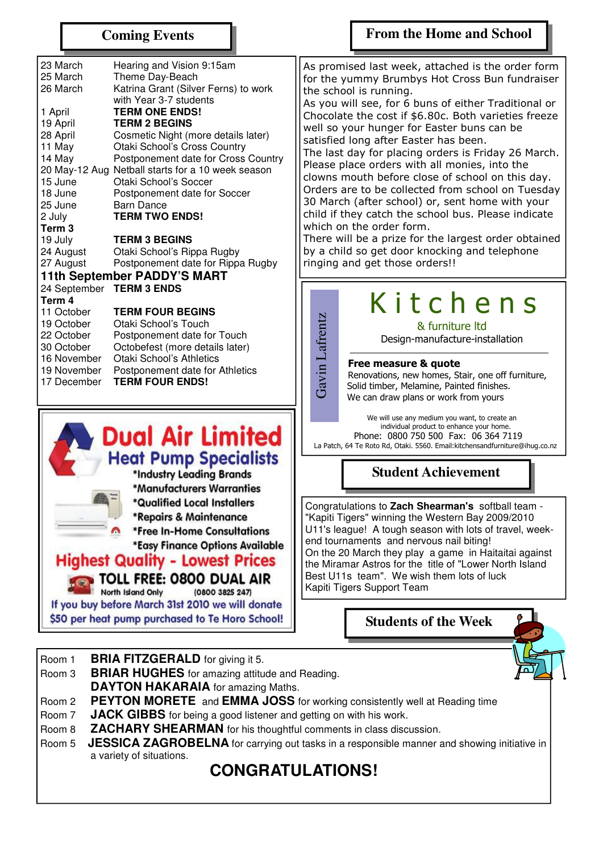### **Coming Events**

### **From the Home and School**

| 23 March                    | Hearing and Vision 9:15am            |  |  |  |  |  |
|-----------------------------|--------------------------------------|--|--|--|--|--|
| 25 March                    | Theme Day-Beach                      |  |  |  |  |  |
| 26 March                    | Katrina Grant (Silver Ferns) to work |  |  |  |  |  |
|                             | with Year 3-7 students               |  |  |  |  |  |
| 1 April                     | <b>TERM ONE ENDS!</b>                |  |  |  |  |  |
| 19 April                    | <b>TERM 2 BEGINS</b>                 |  |  |  |  |  |
| 28 April                    | Cosmetic Night (more details later)  |  |  |  |  |  |
| 11 May                      | Otaki School's Cross Country         |  |  |  |  |  |
| 14 May                      | Postponement date for Cross Country  |  |  |  |  |  |
| 20 May-12 Aug               | Netball starts for a 10 week season  |  |  |  |  |  |
| 15 June                     | Otaki School's Soccer                |  |  |  |  |  |
| 18 June                     | Postponement date for Soccer         |  |  |  |  |  |
| 25 June                     | Barn Dance                           |  |  |  |  |  |
| 2 July                      | <b>TERM TWO ENDS!</b>                |  |  |  |  |  |
| Term 3                      |                                      |  |  |  |  |  |
| 19 July                     | <b>TERM 3 BEGINS</b>                 |  |  |  |  |  |
| 24 August                   | Otaki School's Rippa Rugby           |  |  |  |  |  |
| 27 August                   | Postponement date for Rippa Rugby    |  |  |  |  |  |
| 11th September PADDY'S MART |                                      |  |  |  |  |  |
|                             | 24 September TERM 3 ENDS             |  |  |  |  |  |
| Term 4                      |                                      |  |  |  |  |  |
| 11 October                  | <b>TERM FOUR BEGINS</b>              |  |  |  |  |  |
| 19 October                  | Otaki School's Touch                 |  |  |  |  |  |
| 22 October                  | Postponement date for Touch          |  |  |  |  |  |
| 30 October                  | Octobefest (more details later)      |  |  |  |  |  |
| 16 November                 | Otaki School's Athletics             |  |  |  |  |  |
| 19 November                 | Postponement date for Athletics      |  |  |  |  |  |
| 17 December                 | <b>TERM FOUR ENDS!</b>               |  |  |  |  |  |



If you buy before March 31st 2010 we will donate \$50 per heat pump purchased to Te Horo School!

As promised last week, attached is the order form for the yummy Brumbys Hot Cross Bun fundraiser the school is running.

As you will see, for 6 buns of either Traditional or Chocolate the cost if \$6.80c. Both varieties freeze well so your hunger for Easter buns can be satisfied long after Easter has been.

The last day for placing orders is Friday 26 March. Please place orders with all monies, into the clowns mouth before close of school on this day. Orders are to be collected from school on Tuesday 30 March (after school) or, sent home with your child if they catch the school bus. Please indicate which on the order form.

There will be a prize for the largest order obtained by a child so get door knocking and telephone ringing and get those orders!!

# K i t c h e n s

& furniture ltd

Design-manufacture-installation

#### Free measure & quote

 Renovations, new homes, Stair, one off furniture, Solid timber, Melamine, Painted finishes. We can draw plans or work from yours

 We will use any medium you want, to create an individual product to enhance your home. Phone: 0800 750 500 Fax: 06 364 7119<br>La Patch, 64 Te Roto Rd, Otaki. 5560. Email: kitchensandfurniture@ihuq.co.nz Ree **Example 20** Text Patch, 64 Te Roto Rd, Otaki. 5560. Email:kitchensandfurniture@ihug.co.nz<br>
La Patch, 64 Te Roto Rd, Otaki. 5560. Email:kitchensandfurniture@ihug.co.nz

### **Student Achievement**

Congratulations to **Zach Shearman's** softball team - "Kapiti Tigers" winning the Western Bay 2009/2010 U11's league! A tough season with lots of travel, weekend tournaments and nervous nail biting! On the 20 March they play a game in Haitaitai against the Miramar Astros for the title of "Lower North Island Best U11s team". We wish them lots of luck Kapiti Tigers Support Team

**Students of the Week** 

- Room 1 **BRIA FITZGERALD** for giving it 5.
- Room 3 **BRIAR HUGHES** for amazing attitude and Reading. **DAYTON HAKARAIA** for amazing Maths.
	-
- Room 2 **PEYTON MORETE** and **EMMA JOSS** for working consistently well at Reading time
- Room 7 **JACK GIBBS** for being a good listener and getting on with his work.
- Room 8 **ZACHARY SHEARMAN** for his thoughtful comments in class discussion.
- Room 5 **JESSICA ZAGROBELNA** for carrying out tasks in a responsible manner and showing initiative in a variety of situations.

# **CONGRATULATIONS!**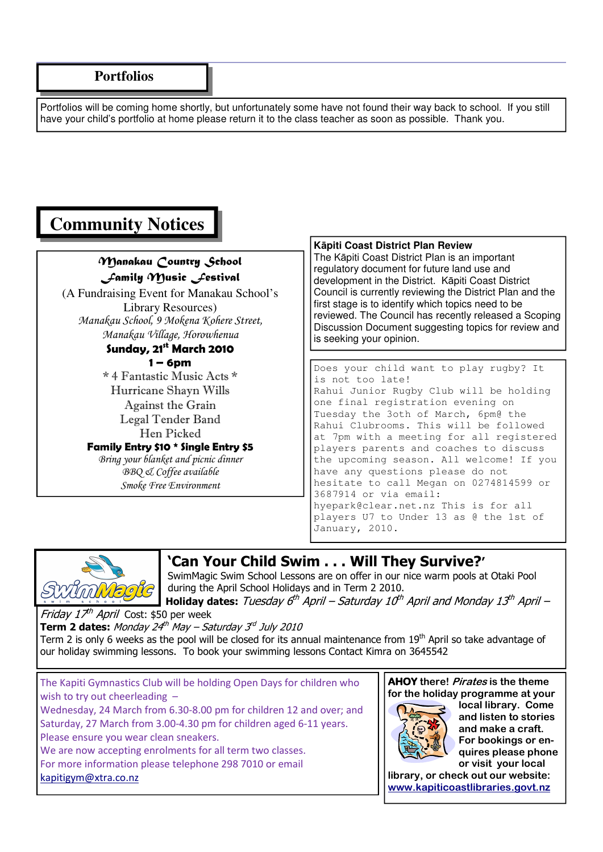Portfolios will be coming home shortly, but unfortunately some have not found their way back to school. If you still have your child's portfolio at home please return it to the class teacher as soon as possible. Thank you.

# **Community Notices**

### Manakau Country School Family Music Festival

(A Fundraising Event for Manakau School's Library Resources) Manakau School, 9 Mokena Kohere Street, Manakau Village, Horowhenua Sunday,  $21^{\text{st}}$  March 2010  $1 - 6$ pm \* 4 Fantastic Music Acts \* Hurricane Shayn Wills Against the Grain

Legal Tender Band Hen Picked Family Entry \$10 \* Single Entry \$5 Bring your blanket and picnic dinner

BBQ & Coffee available Smoke Free Environment

### **K**ā**piti Coast District Plan Review**

The Kāpiti Coast District Plan is an important regulatory document for future land use and development in the District. Kāpiti Coast District Council is currently reviewing the District Plan and the first stage is to identify which topics need to be reviewed. The Council has recently released a Scoping Discussion Document suggesting topics for review and is seeking your opinion.

Does your child want to play rugby? It is not too late! Rahui Junior Rugby Club will be holding one final registration evening on Tuesday the 3oth of March, 6pm@ the Rahui Clubrooms. This will be followed at 7pm with a meeting for all registered players parents and coaches to discuss the upcoming season. All welcome! If you have any questions please do not hesitate to call Megan on 0274814599 or 3687914 or via email: hyepark@clear.net.nz This is for all players U7 to Under 13 as @ the 1st of January, 2010.



## 'Can Your Child Swim . . . Will They Survive?'

SwimMagic Swim School Lessons are on offer in our nice warm pools at Otaki Pool during the April School Holidays and in Term 2 2010.

Holiday dates: Tuesday 6<sup>th</sup> April – Saturday 10<sup>th</sup> April and Monday 13<sup>th</sup> April – Friday 17<sup>th</sup> April Cost: \$50 per week

**Term 2 dates:** Monday 24<sup>th</sup> May – Saturday 3<sup>rd</sup> July 2010

Term 2 is only 6 weeks as the pool will be closed for its annual maintenance from  $19<sup>th</sup>$  April so take advantage of our holiday swimming lessons. To book your swimming lessons Contact Kimra on 3645542

The Kapiti Gymnastics Club will be holding Open Days for children who wish to try out cheerleading -Wednesday, 24 March from 6.30-8.00 pm for children 12 and over; and Saturday, 27 March from 3.00-4.30 pm for children aged 6-11 years. Please ensure you wear clean sneakers. We are now accepting enrolments for all term two classes. For more information please telephone 298 7010 or email

kapitigym@xtra.co.nz

AHOY there! Pirates is the theme for the holiday programme at your



local library. Come and listen to stories and make a craft. For bookings or enquires please phone or visit your local

library, or check out our website: www.kapiticoastlibraries.govt.nz